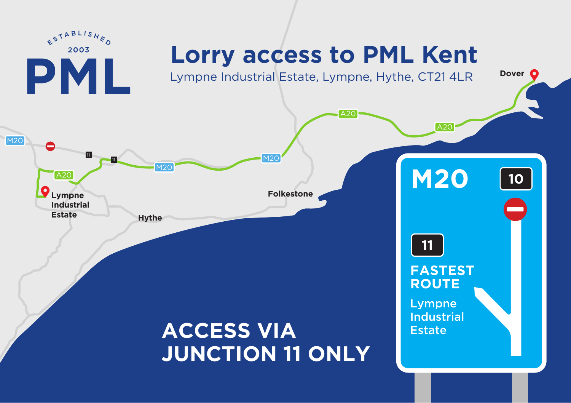